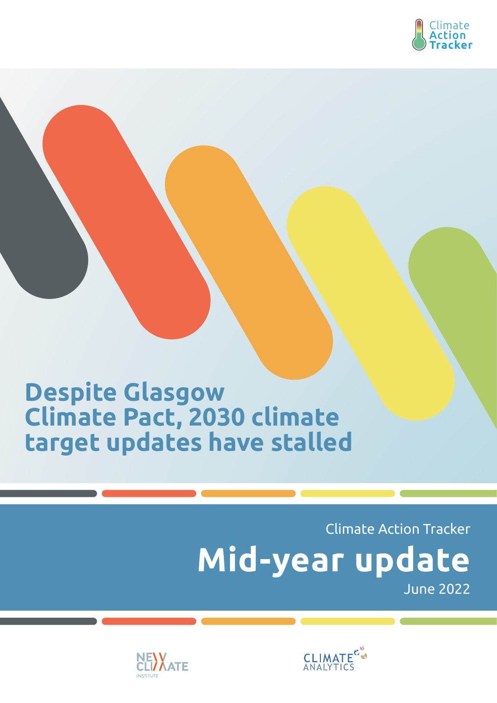

# **Despite Glasgow Climate Pact, 2030 climate target updates have stalled**

# Climate Action Tracker June 2022 **Mid-year update**



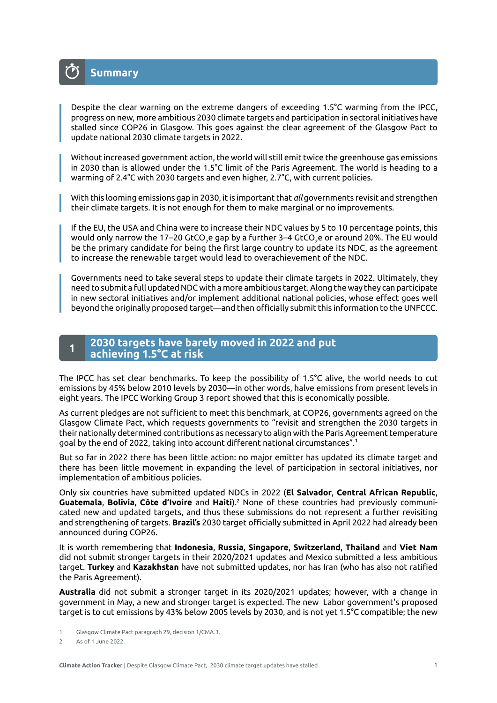

Despite the clear warning on the extreme dangers of exceeding 1.5°C warming from the IPCC, progress on new, more ambitious 2030 climate targets and participation in sectoral initiatives have stalled since COP26 in Glasgow. This goes against the clear agreement of the Glasgow Pact to update national 2030 climate targets in 2022.

Without increased government action, the world will still emit twice the greenhouse gas emissions in 2030 than is allowed under the 1.5°C limit of the Paris Agreement. The world is heading to a warming of 2.4°C with 2030 targets and even higher, 2.7°C, with current policies.

With this looming emissions gap in 2030, it is important that *all* governments revisit and strengthen their climate targets. It is not enough for them to make marginal or no improvements.

If the EU, the USA and China were to increase their NDC values by 5 to 10 percentage points, this would only narrow the 17–20 GtCO<sub>2</sub>e gap by a further 3–4 GtCO<sub>2</sub>e or around 20%. The EU would be the primary candidate for being the first large country to update its NDC, as the agreement to increase the renewable target would lead to overachievement of the NDC.

Governments need to take several steps to update their climate targets in 2022. Ultimately, they need to submit a full updated NDC with a more ambitious target. Along the way they can participate in new sectoral initiatives and/or implement additional national policies, whose effect goes well beyond the originally proposed target—and then officially submit this information to the UNFCCC.

#### **2030 targets have barely moved in 2022 and put achieving 1.5°C at risk <sup>1</sup>**

The IPCC has set clear benchmarks. To keep the possibility of 1.5°C alive, the world needs to cut emissions by 45% below 2010 levels by 2030—in other words, halve emissions from present levels in eight years. The IPCC Working Group 3 report showed that this is economically possible.

As current pledges are not sufficient to meet this benchmark, at COP26, governments agreed on the Glasgow Climate Pact, which requests governments to "revisit and strengthen the 2030 targets in their nationally determined contributions as necessary to align with the Paris Agreement temperature goal by the end of 2022, taking into account different national circumstances".1

But so far in 2022 there has been little action: no major emitter has updated its climate target and there has been little movement in expanding the level of participation in sectoral initiatives, nor implementation of ambitious policies.

Only six countries have submitted updated NDCs in 2022 (**El Salvador**, **Central African Republic**, **Guatemala**, **Bolivia**, **Côte d'Ivoire** and **Haiti**).2 None of these countries had previously communicated new and updated targets, and thus these submissions do not represent a further revisiting and strengthening of targets. **Brazil's** 2030 target officially submitted in April 2022 had already been announced during COP26.

It is worth remembering that **Indonesia**, **Russia**, **Singapore**, **Switzerland**, **Thailand** and **Viet Nam**  did not submit stronger targets in their 2020/2021 updates and Mexico submitted a less ambitious target. **Turkey** and **Kazakhstan** have not submitted updates, nor has Iran (who has also not ratified the Paris Agreement).

**Australia** did not submit a stronger target in its 2020/2021 updates; however, with a change in government in May, a new and stronger target is expected. The new Labor government's proposed target is to cut emissions by 43% below 2005 levels by 2030, and is not yet 1.5°C compatible; the new

<sup>1</sup> Glasgow Climate Pact paragraph 29, decision 1/CMA.3.

<sup>2</sup> As of 1 June 2022.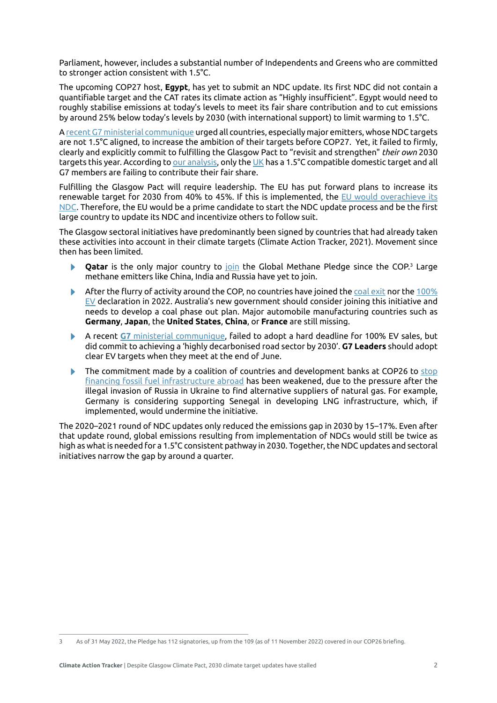Parliament, however, includes a substantial number of Independents and Greens who are committed to stronger action consistent with 1.5°C.

The upcoming COP27 host, **Egypt**, has yet to submit an NDC update. Its first NDC did not contain a quantifiable target and the CAT rates its climate action as "Highly insufficient". Egypt would need to roughly stabilise emissions at today's levels to meet its fair share contribution and to cut emissions by around 25% below today's levels by 2030 (with international support) to limit warming to 1.5°C.

A [recent G7 ministerial communique](https://www.bundesregierung.de/resource/blob/974430/2044350/84e380088170c69e6b6ad45dbd133ef8/2022-05-27-1-climate-ministers-communique-data.pdf?download=1#:~:text=We%2C%20the%20G7%20Ministers%20of,generations) urged all countries, especially major emitters, whose NDC targets are not 1.5°C aligned, to increase the ambition of their targets before COP27. Yet, it failed to firmly, clearly and explicitly commit to fulfilling the Glasgow Pact to "revisit and strengthen" *their own* 2030 targets this year. According to [our analysis,](https://climateactiontracker.org/countries/) only the [UK](https://climateactiontracker.org/countries/uk/) has a 1.5°C compatible domestic target and all G7 members are failing to contribute their fair share.

Fulfilling the Glasgow Pact will require leadership. The EU has put forward plans to increase its renewable target for 2030 from 40% to 45%. If this is implemented, the [EU would overachieve its](https://climateactiontracker.org/countries/eu/) [NDC](https://climateactiontracker.org/countries/eu/). Therefore, the EU would be a prime candidate to start the NDC update process and be the first large country to update its NDC and incentivize others to follow suit.

The Glasgow sectoral initiatives have predominantly been signed by countries that had already taken these activities into account in their climate targets (Climate Action Tracker, 2021). Movement since then has been limited.

- **Qatar** is the only major country to [join](https://qa.usembassy.gov/joint-statement-on-qatars-endorsement-of-the-global-methane-pledge/) the Global Methane Pledge since the COP.<sup>3</sup> Large methane emitters like China, India and Russia have yet to join.
- After the flurry of activity around the COP, no countries have joined the [coal exit](https://ukcop26.org/global-coal-to-clean-power-transition-statement/) nor the [100%](https://www.gov.uk/government/publications/cop26-declaration-zero-emission-cars-and-vans/cop26-declaration-on-accelerating-the-transition-to-100-zero-emission-cars-and-vans) [EV](https://www.gov.uk/government/publications/cop26-declaration-zero-emission-cars-and-vans/cop26-declaration-on-accelerating-the-transition-to-100-zero-emission-cars-and-vans) declaration in 2022. Australia's new government should consider joining this initiative and needs to develop a coal phase out plan. Major automobile manufacturing countries such as **Germany**, **Japan**, the **United States**, **China**, or **France** are still missing.
- A recent **G7** [ministerial communique](https://www.bundesregierung.de/resource/blob/974430/2044350/84e380088170c69e6b6ad45dbd133ef8/2022-05-27-1-climate-ministers-communique-data.pdf?download=1#:~:text=We%2C%20the%20G7%20Ministers%20of,generations), failed to adopt a hard deadline for 100% EV sales, but did commit to achieving a 'highly decarbonised road sector by 2030'. **G7 Leaders** should adopt clear EV targets when they meet at the end of June.
- $\blacktriangleright$  The commitment made by a coalition of countries and development banks at COP26 to [stop](https://ukcop26.org/statement-on-international-public-support-for-the-clean-energy-transition/) [financing fossil fuel infrastructure abroad](https://ukcop26.org/statement-on-international-public-support-for-the-clean-energy-transition/) has been weakened, due to the pressure after the illegal invasion of Russia in Ukraine to find alternative suppliers of natural gas. For example, Germany is considering supporting Senegal in developing LNG infrastructure, which, if implemented, would undermine the initiative.

The 2020–2021 round of NDC updates only reduced the emissions gap in 2030 by 15–17%. Even after that update round, global emissions resulting from implementation of NDCs would still be twice as high as what is needed for a 1.5°C consistent pathway in 2030. Together, the NDC updates and sectoral initiatives narrow the gap by around a quarter.

<sup>3</sup> As of 31 May 2022, the Pledge has 112 signatories, up from the 109 (as of 11 November 2022) covered in our COP26 briefing.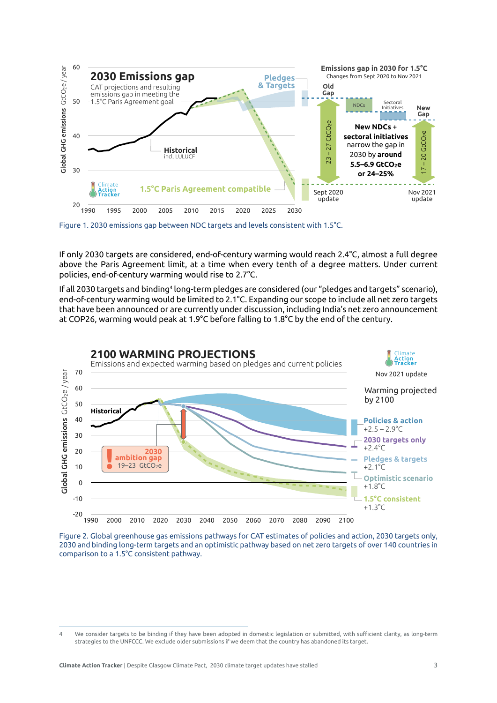

0 **Likely impact on the 2030 emissions gap from**  Figure 1. 2030 emissions gap between NDC targets and levels consistent with 1.5°C.

policies, end-of-century warming would rise to 2.7°C. If only 2030 targets are considered, end-of-century warming would reach 2.4°C, almost a full degree above the Paris Agreement limit, at a time when every tenth of a degree matters. Under current

-6 that have been announced or are currently under discussion, including India's net zero announcement If all 2030 targets and binding<sup>4</sup> long-term pledges are considered (our "pledges and targets" scenario), Figure in GHG<br>Change field<br>Change of Set<br>at **Electric Vehicles Coal** at COP26, warming would peak at 1.9°C before falling to 1.8°C by the end of the century. end-of-century warming would be limited to 2.1°C. Expanding our scope to include all net zero targets



Figure 2. Global greenhouse gas emissions pathways for CAT estimates of policies and action, 2030 targets only, 2030 and binding long-term targets and an optimistic pathway based on net zero targets of over 140 countries in comparison to a 1.5°C consistent pathway.

<sup>4</sup> We consider targets to be binding if they have been adopted in domestic legislation or submitted, with sufficient clarity, as long-term strategies to the UNFCCC. We exclude older submissions if we deem that the country has abandoned its target.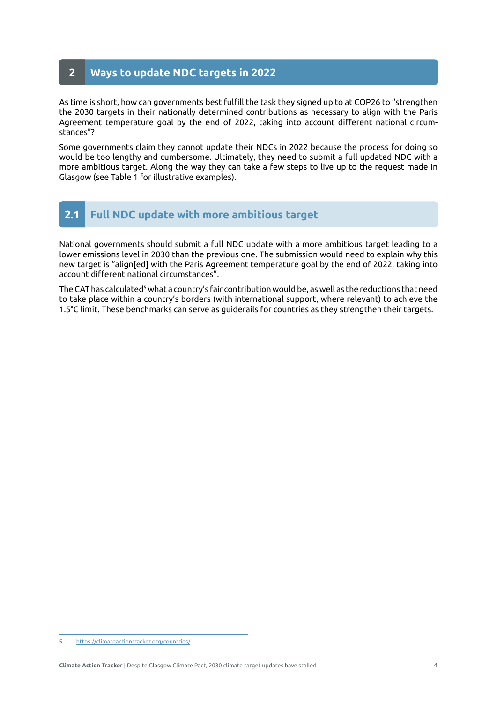#### **2 Ways to update NDC targets in 2022**

As time is short, how can governments best fulfill the task they signed up to at COP26 to "strengthen the 2030 targets in their nationally determined contributions as necessary to align with the Paris Agreement temperature goal by the end of 2022, taking into account different national circumstances"?

Some governments claim they cannot update their NDCs in 2022 because the process for doing so would be too lengthy and cumbersome. Ultimately, they need to submit a full updated NDC with a more ambitious target. Along the way they can take a few steps to live up to the request made in Glasgow (see Table 1 for illustrative examples).

## **2.1 Full NDC update with more ambitious target**

National governments should submit a full NDC update with a more ambitious target leading to a lower emissions level in 2030 than the previous one. The submission would need to explain why this new target is "align[ed] with the Paris Agreement temperature goal by the end of 2022, taking into account different national circumstances".

The CAT has calculated<sup>s</sup> what a country's fair contribution would be, as well as the reductions that need to take place within a country's borders (with international support, where relevant) to achieve the 1.5°C limit. These benchmarks can serve as guiderails for countries as they strengthen their targets.

<sup>5</sup> <https://climateactiontracker.org/countries/>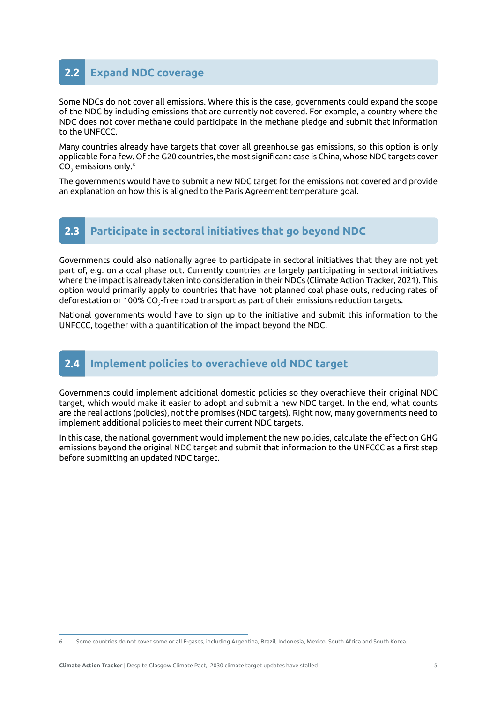## **2.2 Expand NDC coverage**

Some NDCs do not cover all emissions. Where this is the case, governments could expand the scope of the NDC by including emissions that are currently not covered. For example, a country where the NDC does not cover methane could participate in the methane pledge and submit that information to the UNFCCC.

Many countries already have targets that cover all greenhouse gas emissions, so this option is only applicable for a few. Of the G20 countries, the most significant case is China, whose NDC targets cover CO<sub>2</sub> emissions only.<sup>6</sup>

The governments would have to submit a new NDC target for the emissions not covered and provide an explanation on how this is aligned to the Paris Agreement temperature goal.

#### **2.3 Participate in sectoral initiatives that go beyond NDC**

Governments could also nationally agree to participate in sectoral initiatives that they are not yet part of, e.g. on a coal phase out. Currently countries are largely participating in sectoral initiatives where the impact is already taken into consideration in their NDCs (Climate Action Tracker, 2021). This option would primarily apply to countries that have not planned coal phase outs, reducing rates of deforestation or 100% CO $_2^{\vphantom{1}}$ free road transport as part of their emissions reduction targets.

National governments would have to sign up to the initiative and submit this information to the UNFCCC, together with a quantification of the impact beyond the NDC.

### **2.4 Implement policies to overachieve old NDC target**

Governments could implement additional domestic policies so they overachieve their original NDC target, which would make it easier to adopt and submit a new NDC target. In the end, what counts are the real actions (policies), not the promises (NDC targets). Right now, many governments need to implement additional policies to meet their current NDC targets.

In this case, the national government would implement the new policies, calculate the effect on GHG emissions beyond the original NDC target and submit that information to the UNFCCC as a first step before submitting an updated NDC target.

<sup>6</sup> Some countries do not cover some or all F-gases, including Argentina, Brazil, Indonesia, Mexico, South Africa and South Korea.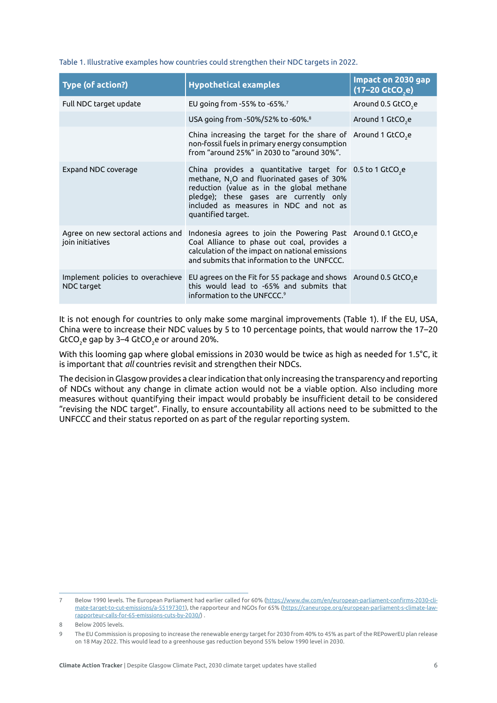Table 1. Illustrative examples how countries could strengthen their NDC targets in 2022.

| <b>Type (of action?)</b>                              | <b>Hypothetical examples</b>                                                                                                                                                                                                                                                    | Impact on 2030 gap<br>$(17-20$ GtCO <sub>2</sub> e) |
|-------------------------------------------------------|---------------------------------------------------------------------------------------------------------------------------------------------------------------------------------------------------------------------------------------------------------------------------------|-----------------------------------------------------|
| Full NDC target update                                | EU going from -55% to -65%. <sup>7</sup>                                                                                                                                                                                                                                        | Around 0.5 GtCO <sub>2</sub> e                      |
|                                                       | USA going from -50%/52% to -60%. <sup>8</sup>                                                                                                                                                                                                                                   | Around 1 GtCO <sub>2</sub> e                        |
|                                                       | China increasing the target for the share of Around 1 GtCO <sub>,</sub> e<br>non-fossil fuels in primary energy consumption<br>from "around 25%" in 2030 to "around 30%".                                                                                                       |                                                     |
| Expand NDC coverage                                   | China provides a quantitative target for $0.5$ to 1 GtCO <sub>2</sub> e<br>methane, $N_2O$ and fluorinated gases of 30%<br>reduction (value as in the global methane<br>pledge); these gases are currently only<br>included as measures in NDC and not as<br>quantified target. |                                                     |
| Agree on new sectoral actions and<br>join initiatives | Indonesia agrees to join the Powering Past Around 0.1 GtCO <sub>2</sub> e<br>Coal Alliance to phase out coal, provides a<br>calculation of the impact on national emissions<br>and submits that information to the UNFCCC.                                                      |                                                     |
| Implement policies to overachieve<br>NDC target       | EU agrees on the Fit for 55 package and shows Around 0.5 GtCO <sub>2</sub> e<br>this would lead to -65% and submits that<br>information to the UNFCCC. <sup>9</sup>                                                                                                             |                                                     |

It is not enough for countries to only make some marginal improvements (Table 1). If the EU, USA, China were to increase their NDC values by 5 to 10 percentage points, that would narrow the 17–20  $\mathsf{GtCO}_2$ e gap by 3–4  $\mathsf{GtCO}_2$ e or around 20%.

With this looming gap where global emissions in 2030 would be twice as high as needed for 1.5°C, it is important that *all* countries revisit and strengthen their NDCs.

The decision in Glasgow provides a clear indication that only increasing the transparency and reporting of NDCs without any change in climate action would not be a viable option. Also including more measures without quantifying their impact would probably be insufficient detail to be considered "revising the NDC target". Finally, to ensure accountability all actions need to be submitted to the UNFCCC and their status reported on as part of the regular reporting system.

<sup>7</sup> Below 1990 levels. The European Parliament had earlier called for 60% ([https://www.dw.com/en/european-parliament-confirms-2030-cli](https://www.dw.com/en/european-parliament-confirms-2030-climate-target-to-cut-emissions/a-55197301)[mate-target-to-cut-emissions/a-55197301\)](https://www.dw.com/en/european-parliament-confirms-2030-climate-target-to-cut-emissions/a-55197301), the rapporteur and NGOs for 65% (https://caneurope.org/european-parliament-s-climate-lawrapporteur-calls-for-65-emissions-cuts-by-2030/) .

<sup>8</sup> Below 2005 levels.

<sup>9</sup> The EU Commission is proposing to increase the renewable energy target for 2030 from 40% to 45% as part of the REPowerEU plan release on 18 May 2022. This would lead to a greenhouse gas reduction beyond 55% below 1990 level in 2030.